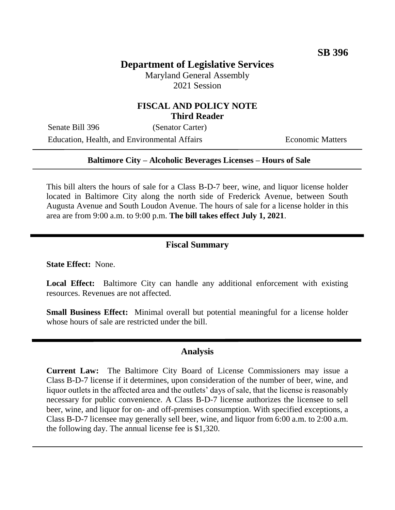# **Department of Legislative Services**

Maryland General Assembly 2021 Session

### **FISCAL AND POLICY NOTE Third Reader**

Senate Bill 396 (Senator Carter) Education, Health, and Environmental Affairs Economic Matters

#### **Baltimore City – Alcoholic Beverages Licenses – Hours of Sale**

This bill alters the hours of sale for a Class B-D-7 beer, wine, and liquor license holder located in Baltimore City along the north side of Frederick Avenue, between South Augusta Avenue and South Loudon Avenue. The hours of sale for a license holder in this area are from 9:00 a.m. to 9:00 p.m. **The bill takes effect July 1, 2021**.

### **Fiscal Summary**

**State Effect:** None.

Local Effect: Baltimore City can handle any additional enforcement with existing resources. Revenues are not affected.

**Small Business Effect:** Minimal overall but potential meaningful for a license holder whose hours of sale are restricted under the bill.

## **Analysis**

**Current Law:** The Baltimore City Board of License Commissioners may issue a Class B-D-7 license if it determines, upon consideration of the number of beer, wine, and liquor outlets in the affected area and the outlets' days of sale, that the license is reasonably necessary for public convenience. A Class B-D-7 license authorizes the licensee to sell beer, wine, and liquor for on- and off-premises consumption. With specified exceptions, a Class B-D-7 licensee may generally sell beer, wine, and liquor from 6:00 a.m. to 2:00 a.m. the following day. The annual license fee is \$1,320.